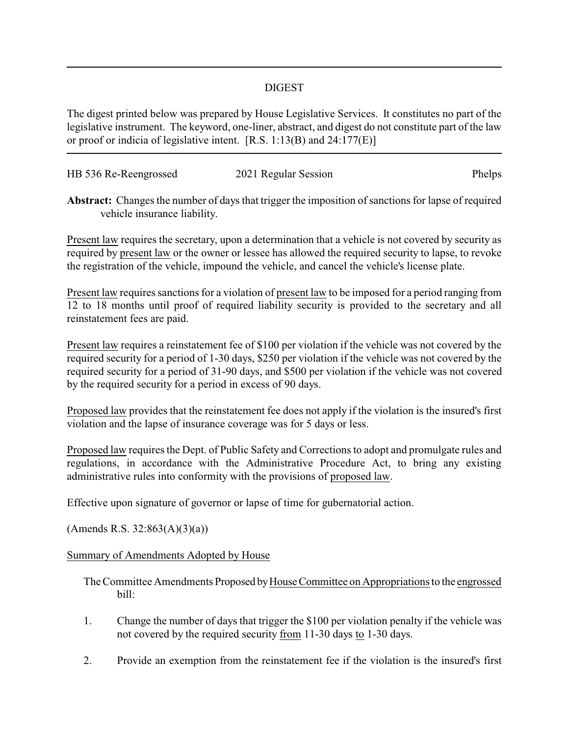## DIGEST

The digest printed below was prepared by House Legislative Services. It constitutes no part of the legislative instrument. The keyword, one-liner, abstract, and digest do not constitute part of the law or proof or indicia of legislative intent. [R.S. 1:13(B) and 24:177(E)]

| HB 536 Re-Reengrossed | 2021 Regular Session | Phelps |
|-----------------------|----------------------|--------|
|                       |                      |        |

**Abstract:** Changes the number of days that trigger the imposition of sanctions for lapse of required vehicle insurance liability.

Present law requires the secretary, upon a determination that a vehicle is not covered by security as required by present law or the owner or lessee has allowed the required security to lapse, to revoke the registration of the vehicle, impound the vehicle, and cancel the vehicle's license plate.

Present law requires sanctions for a violation of present law to be imposed for a period ranging from 12 to 18 months until proof of required liability security is provided to the secretary and all reinstatement fees are paid.

Present law requires a reinstatement fee of \$100 per violation if the vehicle was not covered by the required security for a period of 1-30 days, \$250 per violation if the vehicle was not covered by the required security for a period of 31-90 days, and \$500 per violation if the vehicle was not covered by the required security for a period in excess of 90 days.

Proposed law provides that the reinstatement fee does not apply if the violation is the insured's first violation and the lapse of insurance coverage was for 5 days or less.

Proposed law requires the Dept. of Public Safety and Corrections to adopt and promulgate rules and regulations, in accordance with the Administrative Procedure Act, to bring any existing administrative rules into conformity with the provisions of proposed law.

Effective upon signature of governor or lapse of time for gubernatorial action.

 $(A$ mends R.S. 32:863 $(A)(3)(a)$ 

## Summary of Amendments Adopted by House

The Committee Amendments Proposed by House Committee on Appropriations to the engrossed bill:

- 1. Change the number of days that trigger the \$100 per violation penalty if the vehicle was not covered by the required security from 11-30 days to 1-30 days.
- 2. Provide an exemption from the reinstatement fee if the violation is the insured's first